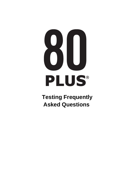# PLUS®

**Testing Frequently Asked Questions**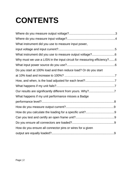# **CONTENTS**

| What instrument did you use to measure input power,                    |  |
|------------------------------------------------------------------------|--|
|                                                                        |  |
| What instrument did you use to measure output voltage?6                |  |
| Why must we use a LISN in the input circuit for measuring efficiency?6 |  |
|                                                                        |  |
| Do you start at 100% load and then reduce load? Or do you start        |  |
|                                                                        |  |
|                                                                        |  |
|                                                                        |  |
|                                                                        |  |
| What happens if my unit performance misses a Badge                     |  |
|                                                                        |  |
|                                                                        |  |
|                                                                        |  |
|                                                                        |  |
|                                                                        |  |
| How do you ensure all connector pins or wires for a given              |  |
|                                                                        |  |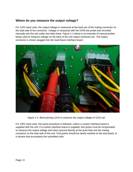### **Where do you measure the output voltage?**

For 115V input units, the output voltage is measured at the back pin of the mating connector on the load side of the connector. Voltage is measured with the DVM test probe and recorded manually into the unit under test data sheet. Figure 1-1 below is an example of manual probes being used to measure voltage on the back of the unit output connector pin. The output connector is shown plugged into the load fixture interface board.



*Figure 1-1: Back-pinning 12V2 to measure the output voltage of 12V2 rail.*

For 230V input units, the same procedure is followed, unless a custom interface board is supplied with the unit. If a custom interface board is supplied, test points must be incorporated to measure the output voltage and return ground directly at the point they exit the mating connector on the load side of the unit. Test points should be clearly marked on the test board, or in photos that accompany the submitted units.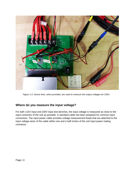

*Figure 1-2: Sense lines, when provided, are used to measure the output voltages for 230V.*

### **Where do you measure the input voltage?**

For both 115V input and 230V input test benches, the input voltage is measured as close to the input connector of the unit as possible. A standard cable has been prepared for common input connectors. The input power cable provides voltage measurement leads that are attached to the input voltage wires of the cable within one and a half inches of the unit input power mating connector.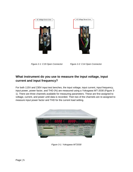



*Figure 2-1: C19 Open Connector Figure 2-2: C14 Open Connector*

### **What instrument do you use to measure the input voltage, input current and input frequency?**

For both 115V and 230V input test benches, the input voltage, input current, input frequency, input power, power factor, and THD (%) are measured using a Yokogawa WT-2030 (Figure 3- 1). There are three channels available for measuring parameters. These are first assigned to voltage, current, and power until data is recorded. Then two of the channels are re-assigned to measure input power factor and THD for the current load setting.



*Figure 3-1: Yokogawa WT2030*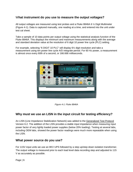### W**hat instrument do you use to measure the output voltages?**

All output voltages are measured using test probes and a Fluke 8846A 6 ½ Digit Multimeter (Figure 4-1). Data is captured manually, one reading at a time, and entered into the unit under test cal sheet.

Take a sample of 10 data points per output voltage using the statistical analysis function of the Fluke 8846A. This displays the minimum and maximum measurements along with the average and standard deviation value at the resolution of 6 digit 10 power line cycle (PLC) setting.

For example, selecting "6 DIGIT 10 PLC" will display 6½ digit resolution and take a measurement using ten power line cycle A/D integrate period. For 60 Hz power, a measurement is almost once every 60th of a second, or 166.666 milliseconds.



*Figure 4-1: Fluke 8846A*

### **Why must we use an LISN in the input circuit for testing efficiency?**

An LISN (Line Impedance Stabilization Network) was added to the Generalized [Test Protocol](http://www.plugloadsolutions.com/docs/collatrl/print/Generalized_Internal_Power_Supply_Efficiency_Test_Protocol_R6.7.pdf) Version 6.2. The addition of the LISN provides a stable input impedance when measuring input power factor of very lightly loaded power supplies (below 20% loading). Testing at several labs, including OEM labs, showed the power factor readings were much more repeatable when using the LISN.

### **What power source do you use?**

For 115V input units we use an 8KV UPS followed by a step up/step down isolation transformer. The output voltage is measured prior to each load level data recording step and adjusted to 115 V as accurately as possible.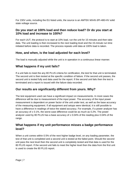For 230V units, including the EU listed units, the source is an AMTEK MX45-3PI-480-HV solid state voltage source.

### **Do you start at 100% load and then reduce load? Or do you start at 10% load and increase to 100%?**

For each UUT, the protocol is to start at 10% load, run the unit for 15 minutes and then take data. The unit loading is then increased to the next loading level and the 15-minute run time initiated before data is recorded. The process repeats until data at 100% load is taken.

### **How, and when, is the load adjusted for each level?**

The load is manually adjusted while the unit is in operation in a continuous linear manner.

### **What happens if my unit fails?**

If a unit fails to meet the any 80 PLUS criteria for certification, the test for that unit is terminated. The second unit is then tested at the specific condition of failure. If the second unit passes, the second unit is tested fully and data used for the report. If the second unit fails then the test is terminated and a report is issued with the failure data recorded.

### **Our results are significantly different from yours. Why?**

The test equipment used can have a significant impact on measurements. In most cases the difference will be due to measurement of the input power. The accuracy of the input power measurement is dependent on power factor of the unit under test, as well as the base accuracy of the measuring equipment. If all equipment and setups were identical, it is still possible to have a difference in readings of twice the stated accuracy. For example, if a power analyzer has an accuracy of  $\pm$  0.1%, the worst-case difference could be as much as 0.2%. The power analyzer used by 80 PLUS has a base accuracy of  $\pm$  0.04% of the reading plus 0.04% of the range.

## **What happens if my unit performance misses a badge performance level?**

When a unit comes within 0.5% of the next higher badge level, on any loading parameter, the test of that unit is completed and a second unit is tested at the failed point. Should the second unit pass the next level then the second unit is completely tested and that data is used for the 80 PLUS report. If the second unit fails to meet the higher level then the data from the first unit is used to create the 80 PLUS report.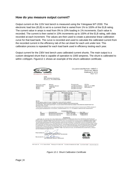### **How do you measure output current?**

Output current on the 115V test bench is measured using the Yokogawa WT-2030. The electronic load box (ELB) is set to a current that is varied from 1% to 100% of the ELB rating. The current value in amps is read from 0% to 10% loading in 1% increments. Each value is recorded. The current is then varied in 10% increments up to 100% of the ELB rating, with data recorded at each increment. The values are then used to create a piecewise linear calibration curve for that load bank. The curve is recorded and used to calculate the calibrated current from the recorded current in the efficiency tab of the cal sheet for each unit under test. This calibration process is repeated for each load bank used in efficiency testing each year.

Output current for the 230V test bench uses calibrated current shunts. The main output is a custom designed shunt that is capable of operation to 1000 amperes. The shunt is calibrated to within ±165ppm. Figure12-1 shows an example of the shunt calibration certificate.

| <b>Excellence in Resistance</b>                           |                                                                |                                                                                                                                                                                                                                                                                                                                                                                                                                                                                                                                                                                                                               |                                                                                      | <b>CALIBRATION REPORT 14547-1</b><br><b>ORDER NO. 69915</b><br>FEBRUARY 5, 2015<br>PAGE 1 OF 1                                                                                                                                                                                                                                                                                                                                                                                                                |
|-----------------------------------------------------------|----------------------------------------------------------------|-------------------------------------------------------------------------------------------------------------------------------------------------------------------------------------------------------------------------------------------------------------------------------------------------------------------------------------------------------------------------------------------------------------------------------------------------------------------------------------------------------------------------------------------------------------------------------------------------------------------------------|--------------------------------------------------------------------------------------|---------------------------------------------------------------------------------------------------------------------------------------------------------------------------------------------------------------------------------------------------------------------------------------------------------------------------------------------------------------------------------------------------------------------------------------------------------------------------------------------------------------|
|                                                           |                                                                |                                                                                                                                                                                                                                                                                                                                                                                                                                                                                                                                                                                                                               |                                                                                      |                                                                                                                                                                                                                                                                                                                                                                                                                                                                                                               |
| <b>EPRI</b>                                               | 942 CORRIDOR PARK BLVD.<br>KNOXVILLE, TN 37932-3294            |                                                                                                                                                                                                                                                                                                                                                                                                                                                                                                                                                                                                                               |                                                                                      |                                                                                                                                                                                                                                                                                                                                                                                                                                                                                                               |
|                                                           |                                                                |                                                                                                                                                                                                                                                                                                                                                                                                                                                                                                                                                                                                                               |                                                                                      |                                                                                                                                                                                                                                                                                                                                                                                                                                                                                                               |
| MANUFACTURER:<br><b>DESCRIPTION:</b><br>MODEL:<br>SERIAL: | <b>EMPRO</b><br><b>CURRENT SHUNT</b><br>1000-100<br><b>N/A</b> |                                                                                                                                                                                                                                                                                                                                                                                                                                                                                                                                                                                                                               | PROCEDURE:<br>LAB ENVIRONMENT:<br><b>CALIBRATION DATE:</b><br><b>CALIBRATION DUE</b> | <b>CS CAL</b><br>22.6 °C / 17 %RH<br>05/FEB/2015                                                                                                                                                                                                                                                                                                                                                                                                                                                              |
|                                                           |                                                                | <b>MEASUREMENT DATA - AS FOUND / AS LEFT</b>                                                                                                                                                                                                                                                                                                                                                                                                                                                                                                                                                                                  |                                                                                      |                                                                                                                                                                                                                                                                                                                                                                                                                                                                                                               |
|                                                           | <b>APPLIED CURRENT</b>                                         | <b>MEASURED VALUE</b>                                                                                                                                                                                                                                                                                                                                                                                                                                                                                                                                                                                                         | <b>UNCERTAINTY</b>                                                                   |                                                                                                                                                                                                                                                                                                                                                                                                                                                                                                               |
|                                                           | 100 A                                                          | $0.997598$ m $\Omega$                                                                                                                                                                                                                                                                                                                                                                                                                                                                                                                                                                                                         |                                                                                      | 124 $\mu\Omega/\Omega$                                                                                                                                                                                                                                                                                                                                                                                                                                                                                        |
|                                                           | 200                                                            | 0.997 817                                                                                                                                                                                                                                                                                                                                                                                                                                                                                                                                                                                                                     | 154                                                                                  |                                                                                                                                                                                                                                                                                                                                                                                                                                                                                                               |
|                                                           | 300                                                            | 0.998 065                                                                                                                                                                                                                                                                                                                                                                                                                                                                                                                                                                                                                     | 143                                                                                  |                                                                                                                                                                                                                                                                                                                                                                                                                                                                                                               |
|                                                           | 400                                                            | 0.998 298                                                                                                                                                                                                                                                                                                                                                                                                                                                                                                                                                                                                                     | 145                                                                                  |                                                                                                                                                                                                                                                                                                                                                                                                                                                                                                               |
|                                                           | 500                                                            | 0.998 444                                                                                                                                                                                                                                                                                                                                                                                                                                                                                                                                                                                                                     | 163                                                                                  |                                                                                                                                                                                                                                                                                                                                                                                                                                                                                                               |
| NOTES:<br>METERING TYPE SHUNTS.                           | SHUNT WAS ALLOWED TO FULLY STABILIZE AT EACH APPLIED CURRENT.  | CALIBRATION LIMITED TO 50 % CURRENT TO PREVENT DAMAGE FROM OVERHEATING.<br>AN ADDITIONAL 100 µ $\Omega/\Omega$ UNCERTAINTY IS ALSO ADDED FOR ESTIMATED CONNECTION VARIATION UNCERTAINTY ON                                                                                                                                                                                                                                                                                                                                                                                                                                    |                                                                                      | THE REPORTED UNCERTAINTY INCLUDES AN ESTIMATED TEMPERATURE COEFFICIENT OF RESISTANCE (TCR) VARIABILITY                                                                                                                                                                                                                                                                                                                                                                                                        |
|                                                           |                                                                | OF 20 µQ/Q FOR MANGANIN TYPE SHUNTS, CORRESPONDING TO A +/-1 °C AMBIENT TEMPERATURE UNCERTAINTY.<br><b>STANDARDS USED</b>                                                                                                                                                                                                                                                                                                                                                                                                                                                                                                     |                                                                                      |                                                                                                                                                                                                                                                                                                                                                                                                                                                                                                               |
| ID                                                        | <b>DESCRIPTION</b>                                             | <b>MAKE &amp; MODEL</b>                                                                                                                                                                                                                                                                                                                                                                                                                                                                                                                                                                                                       | <b>CAL DUE</b>                                                                       |                                                                                                                                                                                                                                                                                                                                                                                                                                                                                                               |
| AS3001<br>AS3401                                          | <b>RESISTANCE STANDARD</b><br><b>RESISTANCE BRIDGE</b>         | OHM-LABS 200<br>GUILDLINE 9920A                                                                                                                                                                                                                                                                                                                                                                                                                                                                                                                                                                                               |                                                                                      | 02/MAR/2015<br>11/MAR/2015                                                                                                                                                                                                                                                                                                                                                                                                                                                                                    |
| WRITTEN PERMISSION BY OHM-LABS, INC.                      |                                                                | <b>COMMENTS:</b><br>OHM-LABS, INC. CERTIFIES THAT THIS CALIBRATION IS TRACEABLE TO THE NATIONAL INSTITUTE OF STANDARDS AND TECHNOLOGY<br>IS ACCREDITED TO ISO/IEC 17025. OHM-LABS' QUALITY CONTROL SYSTEM MEETS THE REQUIREMENTS OF ANSI/NCSL Z540-1-1994.<br>THE REPORTED UNCERTAINTIES REPRESENT EXPANDED UNCERTAINTIES EXPRESSED AT A CONFIDENCE LEVEL OF APPROXIMATELY 95 %.<br>REVISION LEVEL OF OHM-LABS' QUALITY CONTROL SYSTEM. TRAINED AND QUALIFIED PERSONNEL PERFORMED THE CALIBRATIONS IN<br>ACCORDANCE WITH THE REQUIREMENTS OF ISO/IEC 17025. THIS CERTIFICATE SHALL NOT BE REPRODUCED, EXCEPT IN FULL, WITHOUT |                                                                                      | (NIST), OR ANOTHER RECOGNIZED NATIONAL MEASUREMENT INSTITUTE, OR DERIVED BY A RATIO TYPE SELF-CALIBRATION TECHNIQUE, AND<br>USING A COVERAGE FACTOR OF K=2. THIS UNCERTAINTY IS AT THE TIME OF TEST ONLY AND DOES NOT TAKE INTO ACCOUNT TRANSIT, USAGE,<br>DRIFT OVER TIME, OR OTHER FACTORS AFFECTING STABILITY. THIS DOCUMENT CERTIFIES THAT THE ITEMS IDENTIFIED HEREIN COMPLY WITH<br>ALL REQUIREMENTS OF THE ABOVE PURCHASE ORDER, AND THAT THE CALIBRATION PERFORMED WAS IN ACCORDANCE WITH THE CURRENT |

*Figure 12-1: Shunt Calibration Certificate*